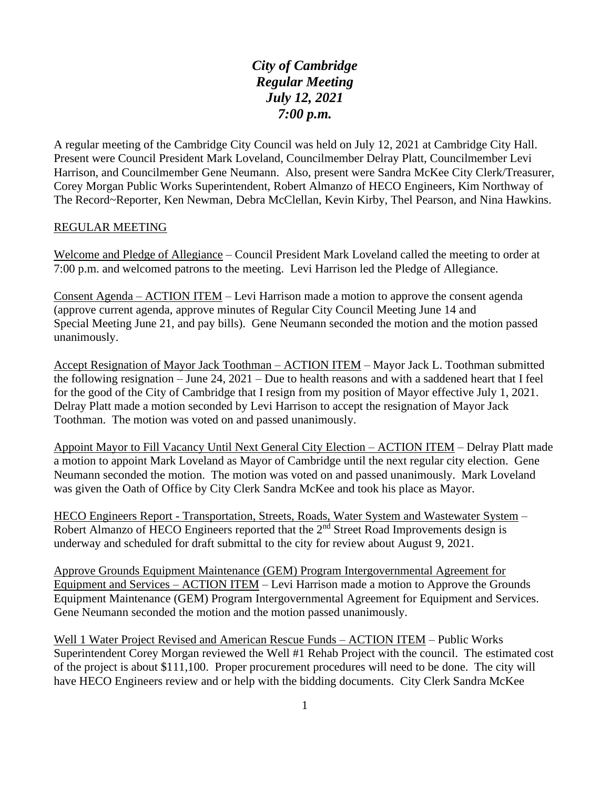*City of Cambridge Regular Meeting July 12, 2021 7:00 p.m.*

A regular meeting of the Cambridge City Council was held on July 12, 2021 at Cambridge City Hall. Present were Council President Mark Loveland, Councilmember Delray Platt, Councilmember Levi Harrison, and Councilmember Gene Neumann. Also, present were Sandra McKee City Clerk/Treasurer, Corey Morgan Public Works Superintendent, Robert Almanzo of HECO Engineers, Kim Northway of The Record~Reporter, Ken Newman, Debra McClellan, Kevin Kirby, Thel Pearson, and Nina Hawkins.

## REGULAR MEETING

Welcome and Pledge of Allegiance – Council President Mark Loveland called the meeting to order at 7:00 p.m. and welcomed patrons to the meeting. Levi Harrison led the Pledge of Allegiance.

Consent Agenda – ACTION ITEM – Levi Harrison made a motion to approve the consent agenda (approve current agenda, approve minutes of Regular City Council Meeting June 14 and Special Meeting June 21, and pay bills). Gene Neumann seconded the motion and the motion passed unanimously.

Accept Resignation of Mayor Jack Toothman – ACTION ITEM – Mayor Jack L. Toothman submitted the following resignation – June 24, 2021 – Due to health reasons and with a saddened heart that I feel for the good of the City of Cambridge that I resign from my position of Mayor effective July 1, 2021. Delray Platt made a motion seconded by Levi Harrison to accept the resignation of Mayor Jack Toothman. The motion was voted on and passed unanimously.

Appoint Mayor to Fill Vacancy Until Next General City Election – ACTION ITEM – Delray Platt made a motion to appoint Mark Loveland as Mayor of Cambridge until the next regular city election. Gene Neumann seconded the motion. The motion was voted on and passed unanimously. Mark Loveland was given the Oath of Office by City Clerk Sandra McKee and took his place as Mayor.

HECO Engineers Report - Transportation, Streets, Roads, Water System and Wastewater System – Robert Almanzo of HECO Engineers reported that the 2<sup>nd</sup> Street Road Improvements design is underway and scheduled for draft submittal to the city for review about August 9, 2021.

Approve Grounds Equipment Maintenance (GEM) Program Intergovernmental Agreement for Equipment and Services – ACTION ITEM – Levi Harrison made a motion to Approve the Grounds Equipment Maintenance (GEM) Program Intergovernmental Agreement for Equipment and Services. Gene Neumann seconded the motion and the motion passed unanimously.

Well 1 Water Project Revised and American Rescue Funds – ACTION ITEM – Public Works Superintendent Corey Morgan reviewed the Well #1 Rehab Project with the council. The estimated cost of the project is about \$111,100. Proper procurement procedures will need to be done. The city will have HECO Engineers review and or help with the bidding documents. City Clerk Sandra McKee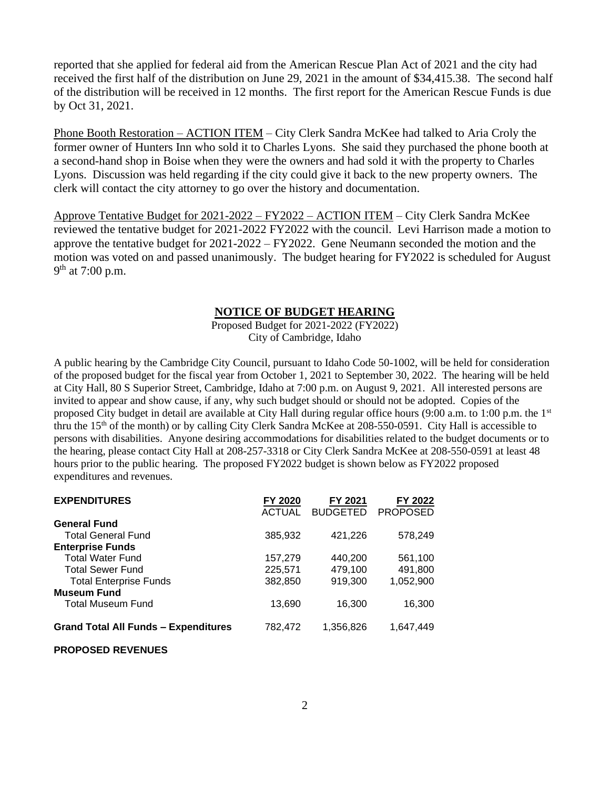reported that she applied for federal aid from the American Rescue Plan Act of 2021 and the city had received the first half of the distribution on June 29, 2021 in the amount of \$34,415.38. The second half of the distribution will be received in 12 months. The first report for the American Rescue Funds is due by Oct 31, 2021.

Phone Booth Restoration – ACTION ITEM – City Clerk Sandra McKee had talked to Aria Croly the former owner of Hunters Inn who sold it to Charles Lyons. She said they purchased the phone booth at a second-hand shop in Boise when they were the owners and had sold it with the property to Charles Lyons. Discussion was held regarding if the city could give it back to the new property owners. The clerk will contact the city attorney to go over the history and documentation.

Approve Tentative Budget for 2021-2022 – FY2022 – ACTION ITEM – City Clerk Sandra McKee reviewed the tentative budget for 2021-2022 FY2022 with the council. Levi Harrison made a motion to approve the tentative budget for 2021-2022 – FY2022. Gene Neumann seconded the motion and the motion was voted on and passed unanimously. The budget hearing for FY2022 is scheduled for August 9<sup>th</sup> at 7:00 p.m.

## **NOTICE OF BUDGET HEARING**

Proposed Budget for 2021-2022 (FY2022) City of Cambridge, Idaho

A public hearing by the Cambridge City Council, pursuant to Idaho Code 50-1002, will be held for consideration of the proposed budget for the fiscal year from October 1, 2021 to September 30, 2022. The hearing will be held at City Hall, 80 S Superior Street, Cambridge, Idaho at 7:00 p.m. on August 9, 2021. All interested persons are invited to appear and show cause, if any, why such budget should or should not be adopted. Copies of the proposed City budget in detail are available at City Hall during regular office hours (9:00 a.m. to 1:00 p.m. the 1st thru the 15th of the month) or by calling City Clerk Sandra McKee at 208-550-0591. City Hall is accessible to persons with disabilities. Anyone desiring accommodations for disabilities related to the budget documents or to the hearing, please contact City Hall at 208-257-3318 or City Clerk Sandra McKee at 208-550-0591 at least 48 hours prior to the public hearing. The proposed FY2022 budget is shown below as FY2022 proposed expenditures and revenues.

| FY 2020       | FY 2021         | FY 2022         |
|---------------|-----------------|-----------------|
| <b>ACTUAL</b> | <b>BUDGETED</b> | <b>PROPOSED</b> |
|               |                 |                 |
| 385,932       | 421,226         | 578,249         |
|               |                 |                 |
| 157,279       | 440,200         | 561,100         |
| 225,571       | 479,100         | 491,800         |
| 382.850       | 919,300         | 1,052,900       |
|               |                 |                 |
| 13,690        | 16,300          | 16,300          |
|               |                 |                 |
|               |                 | 1,647,449       |
|               | 782,472         | 1,356,826       |

## **PROPOSED REVENUES**